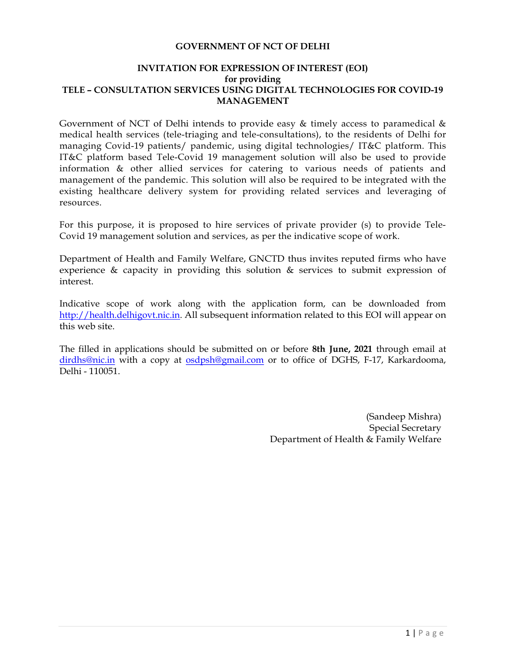### GOVERNMENT OF NCT OF DELHI

### INVITATION FOR EXPRESSION OF INTEREST (EOI) for providing TELE – CONSULTATION SERVICES USING DIGITAL TECHNOLOGIES FOR COVID-19 MANAGEMENT

Government of NCT of Delhi intends to provide easy  $\&$  timely access to paramedical  $\&$ medical health services (tele-triaging and tele-consultations), to the residents of Delhi for managing Covid-19 patients/ pandemic, using digital technologies/ IT&C platform. This IT&C platform based Tele-Covid 19 management solution will also be used to provide information & other allied services for catering to various needs of patients and management of the pandemic. This solution will also be required to be integrated with the existing healthcare delivery system for providing related services and leveraging of resources.

For this purpose, it is proposed to hire services of private provider (s) to provide Tele-Covid 19 management solution and services, as per the indicative scope of work.

Department of Health and Family Welfare, GNCTD thus invites reputed firms who have experience & capacity in providing this solution & services to submit expression of interest.

Indicative scope of work along with the application form, can be downloaded from http://health.delhigovt.nic.in. All subsequent information related to this EOI will appear on this web site.

The filled in applications should be submitted on or before 8th June, 2021 through email at dirdhs@nic.in with a copy at osdpsh@gmail.com or to office of DGHS, F-17, Karkardooma, Delhi - 110051.

> (Sandeep Mishra) Special Secretary Department of Health & Family Welfare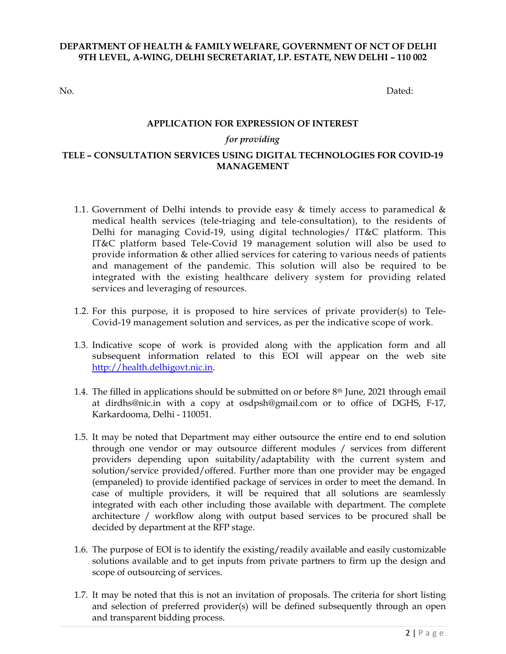## DEPARTMENT OF HEALTH & FAMILY WELFARE, GOVERNMENT OF NCT OF DELHI 9TH LEVEL, A-WING, DELHI SECRETARIAT, I.P. ESTATE, NEW DELHI – 110 002

No. Dated:

### APPLICATION FOR EXPRESSION OF INTEREST

## for providing

## TELE – CONSULTATION SERVICES USING DIGITAL TECHNOLOGIES FOR COVID-19 MANAGEMENT

- 1.1. Government of Delhi intends to provide easy  $\&$  timely access to paramedical  $\&$ medical health services (tele-triaging and tele-consultation), to the residents of Delhi for managing Covid-19, using digital technologies/ IT&C platform. This IT&C platform based Tele-Covid 19 management solution will also be used to provide information & other allied services for catering to various needs of patients and management of the pandemic. This solution will also be required to be integrated with the existing healthcare delivery system for providing related services and leveraging of resources.
- 1.2. For this purpose, it is proposed to hire services of private provider(s) to Tele-Covid-19 management solution and services, as per the indicative scope of work.
- 1.3. Indicative scope of work is provided along with the application form and all subsequent information related to this EOI will appear on the web site http://health.delhigovt.nic.in.
- 1.4. The filled in applications should be submitted on or before 8th June, 2021 through email at dirdhs@nic.in with a copy at osdpsh@gmail.com or to office of DGHS, F-17, Karkardooma, Delhi - 110051.
- 1.5. It may be noted that Department may either outsource the entire end to end solution through one vendor or may outsource different modules / services from different providers depending upon suitability/adaptability with the current system and solution/service provided/offered. Further more than one provider may be engaged (empaneled) to provide identified package of services in order to meet the demand. In case of multiple providers, it will be required that all solutions are seamlessly integrated with each other including those available with department. The complete architecture / workflow along with output based services to be procured shall be decided by department at the RFP stage.
- 1.6. The purpose of EOI is to identify the existing/readily available and easily customizable solutions available and to get inputs from private partners to firm up the design and scope of outsourcing of services.
- 1.7. It may be noted that this is not an invitation of proposals. The criteria for short listing and selection of preferred provider(s) will be defined subsequently through an open and transparent bidding process.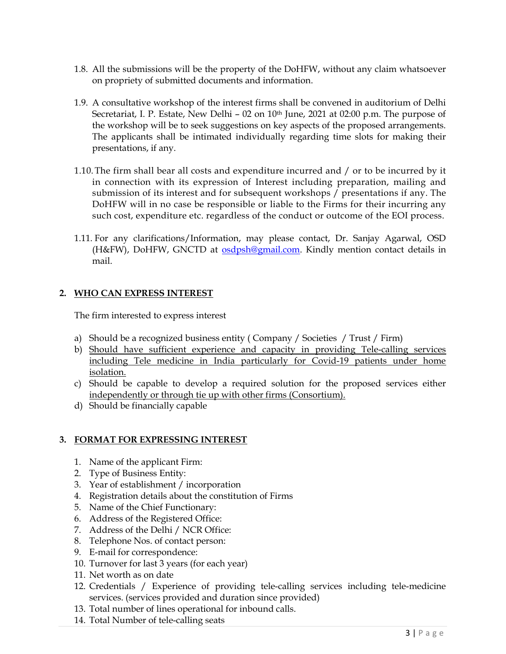- 1.8. All the submissions will be the property of the DoHFW, without any claim whatsoever on propriety of submitted documents and information.
- 1.9. A consultative workshop of the interest firms shall be convened in auditorium of Delhi Secretariat, I. P. Estate, New Delhi - 02 on 10<sup>th</sup> June, 2021 at 02:00 p.m. The purpose of the workshop will be to seek suggestions on key aspects of the proposed arrangements. The applicants shall be intimated individually regarding time slots for making their presentations, if any.
- 1.10.The firm shall bear all costs and expenditure incurred and / or to be incurred by it in connection with its expression of Interest including preparation, mailing and submission of its interest and for subsequent workshops / presentations if any. The DoHFW will in no case be responsible or liable to the Firms for their incurring any such cost, expenditure etc. regardless of the conduct or outcome of the EOI process.
- 1.11. For any clarifications/Information, may please contact, Dr. Sanjay Agarwal, OSD (H&FW), DoHFW, GNCTD at osdpsh@gmail.com. Kindly mention contact details in mail.

# 2. WHO CAN EXPRESS INTEREST

The firm interested to express interest

- a) Should be a recognized business entity ( Company / Societies / Trust / Firm)
- b) Should have sufficient experience and capacity in providing Tele-calling services including Tele medicine in India particularly for Covid-19 patients under home isolation.
- c) Should be capable to develop a required solution for the proposed services either independently or through tie up with other firms (Consortium).
- d) Should be financially capable

# 3. FORMAT FOR EXPRESSING INTEREST

- 1. Name of the applicant Firm:
- 2. Type of Business Entity:
- 3. Year of establishment / incorporation
- 4. Registration details about the constitution of Firms
- 5. Name of the Chief Functionary:
- 6. Address of the Registered Office:
- 7. Address of the Delhi / NCR Office:
- 8. Telephone Nos. of contact person:
- 9. E-mail for correspondence:
- 10. Turnover for last 3 years (for each year)
- 11. Net worth as on date
- 12. Credentials / Experience of providing tele-calling services including tele-medicine services. (services provided and duration since provided)
- 13. Total number of lines operational for inbound calls.
- 14. Total Number of tele-calling seats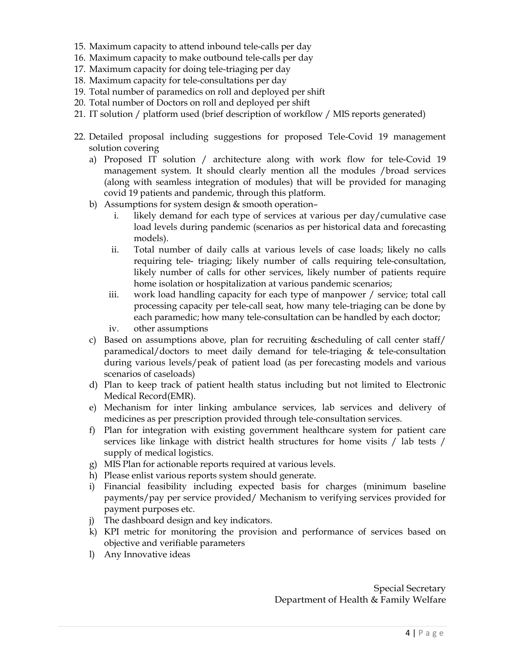- 15. Maximum capacity to attend inbound tele-calls per day
- 16. Maximum capacity to make outbound tele-calls per day
- 17. Maximum capacity for doing tele-triaging per day
- 18. Maximum capacity for tele-consultations per day
- 19. Total number of paramedics on roll and deployed per shift
- 20. Total number of Doctors on roll and deployed per shift
- 21. IT solution / platform used (brief description of workflow / MIS reports generated)
- 22. Detailed proposal including suggestions for proposed Tele-Covid 19 management solution covering
	- a) Proposed IT solution / architecture along with work flow for tele-Covid 19 management system. It should clearly mention all the modules /broad services (along with seamless integration of modules) that will be provided for managing covid 19 patients and pandemic, through this platform.
	- b) Assumptions for system design  $&$  smooth operation
		- i. likely demand for each type of services at various per day/cumulative case load levels during pandemic (scenarios as per historical data and forecasting models).
		- ii. Total number of daily calls at various levels of case loads; likely no calls requiring tele- triaging; likely number of calls requiring tele-consultation, likely number of calls for other services, likely number of patients require home isolation or hospitalization at various pandemic scenarios;
		- iii. work load handling capacity for each type of manpower / service; total call processing capacity per tele-call seat, how many tele-triaging can be done by each paramedic; how many tele-consultation can be handled by each doctor;
		- iv. other assumptions
	- c) Based on assumptions above, plan for recruiting &scheduling of call center staff/ paramedical/doctors to meet daily demand for tele-triaging & tele-consultation during various levels/peak of patient load (as per forecasting models and various scenarios of caseloads)
	- d) Plan to keep track of patient health status including but not limited to Electronic Medical Record(EMR).
	- e) Mechanism for inter linking ambulance services, lab services and delivery of medicines as per prescription provided through tele-consultation services.
	- f) Plan for integration with existing government healthcare system for patient care services like linkage with district health structures for home visits / lab tests / supply of medical logistics.
	- g) MIS Plan for actionable reports required at various levels.
	- h) Please enlist various reports system should generate.
	- i) Financial feasibility including expected basis for charges (minimum baseline payments/pay per service provided/ Mechanism to verifying services provided for payment purposes etc.
	- j) The dashboard design and key indicators.
	- k) KPI metric for monitoring the provision and performance of services based on objective and verifiable parameters
	- l) Any Innovative ideas

Special Secretary Department of Health & Family Welfare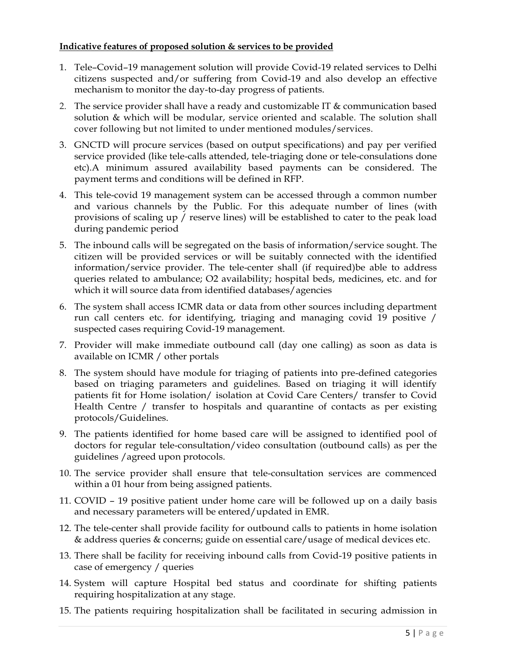# Indicative features of proposed solution & services to be provided

- 1. Tele–Covid–19 management solution will provide Covid-19 related services to Delhi citizens suspected and/or suffering from Covid-19 and also develop an effective mechanism to monitor the day-to-day progress of patients.
- 2. The service provider shall have a ready and customizable IT & communication based solution & which will be modular, service oriented and scalable. The solution shall cover following but not limited to under mentioned modules/services.
- 3. GNCTD will procure services (based on output specifications) and pay per verified service provided (like tele-calls attended, tele-triaging done or tele-consulations done etc).A minimum assured availability based payments can be considered. The payment terms and conditions will be defined in RFP.
- 4. This tele-covid 19 management system can be accessed through a common number and various channels by the Public. For this adequate number of lines (with provisions of scaling up / reserve lines) will be established to cater to the peak load during pandemic period
- 5. The inbound calls will be segregated on the basis of information/service sought. The citizen will be provided services or will be suitably connected with the identified information/service provider. The tele-center shall (if required)be able to address queries related to ambulance; O2 availability; hospital beds, medicines, etc. and for which it will source data from identified databases/agencies
- 6. The system shall access ICMR data or data from other sources including department run call centers etc. for identifying, triaging and managing covid 19 positive / suspected cases requiring Covid-19 management.
- 7. Provider will make immediate outbound call (day one calling) as soon as data is available on ICMR / other portals
- 8. The system should have module for triaging of patients into pre-defined categories based on triaging parameters and guidelines. Based on triaging it will identify patients fit for Home isolation/ isolation at Covid Care Centers/ transfer to Covid Health Centre / transfer to hospitals and quarantine of contacts as per existing protocols/Guidelines.
- 9. The patients identified for home based care will be assigned to identified pool of doctors for regular tele-consultation/video consultation (outbound calls) as per the guidelines /agreed upon protocols.
- 10. The service provider shall ensure that tele-consultation services are commenced within a 01 hour from being assigned patients.
- 11. COVID 19 positive patient under home care will be followed up on a daily basis and necessary parameters will be entered/updated in EMR.
- 12. The tele-center shall provide facility for outbound calls to patients in home isolation & address queries & concerns; guide on essential care/usage of medical devices etc.
- 13. There shall be facility for receiving inbound calls from Covid-19 positive patients in case of emergency / queries
- 14. System will capture Hospital bed status and coordinate for shifting patients requiring hospitalization at any stage.
- 15. The patients requiring hospitalization shall be facilitated in securing admission in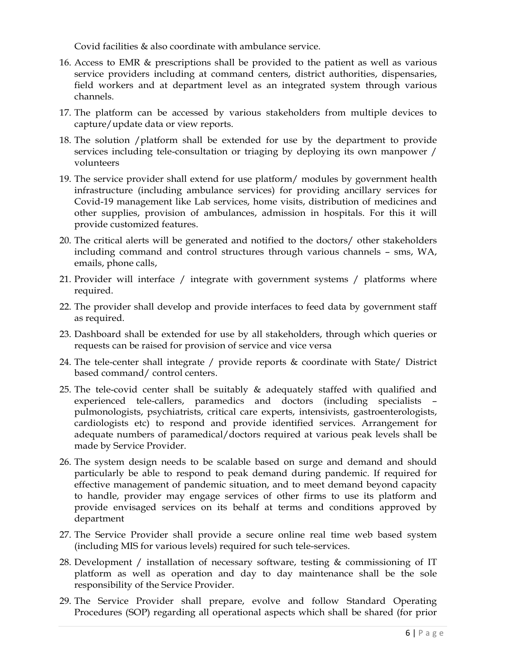Covid facilities & also coordinate with ambulance service.

- 16. Access to EMR & prescriptions shall be provided to the patient as well as various service providers including at command centers, district authorities, dispensaries, field workers and at department level as an integrated system through various channels.
- 17. The platform can be accessed by various stakeholders from multiple devices to capture/update data or view reports.
- 18. The solution /platform shall be extended for use by the department to provide services including tele-consultation or triaging by deploying its own manpower / volunteers
- 19. The service provider shall extend for use platform/ modules by government health infrastructure (including ambulance services) for providing ancillary services for Covid-19 management like Lab services, home visits, distribution of medicines and other supplies, provision of ambulances, admission in hospitals. For this it will provide customized features.
- 20. The critical alerts will be generated and notified to the doctors/ other stakeholders including command and control structures through various channels – sms, WA, emails, phone calls,
- 21. Provider will interface / integrate with government systems / platforms where required.
- 22. The provider shall develop and provide interfaces to feed data by government staff as required.
- 23. Dashboard shall be extended for use by all stakeholders, through which queries or requests can be raised for provision of service and vice versa
- 24. The tele-center shall integrate / provide reports & coordinate with State/ District based command/ control centers.
- 25. The tele-covid center shall be suitably  $\&$  adequately staffed with qualified and experienced tele-callers, paramedics and doctors (including specialists – pulmonologists, psychiatrists, critical care experts, intensivists, gastroenterologists, cardiologists etc) to respond and provide identified services. Arrangement for adequate numbers of paramedical/doctors required at various peak levels shall be made by Service Provider.
- 26. The system design needs to be scalable based on surge and demand and should particularly be able to respond to peak demand during pandemic. If required for effective management of pandemic situation, and to meet demand beyond capacity to handle, provider may engage services of other firms to use its platform and provide envisaged services on its behalf at terms and conditions approved by department
- 27. The Service Provider shall provide a secure online real time web based system (including MIS for various levels) required for such tele-services.
- 28. Development / installation of necessary software, testing & commissioning of IT platform as well as operation and day to day maintenance shall be the sole responsibility of the Service Provider.
- 29. The Service Provider shall prepare, evolve and follow Standard Operating Procedures (SOP) regarding all operational aspects which shall be shared (for prior